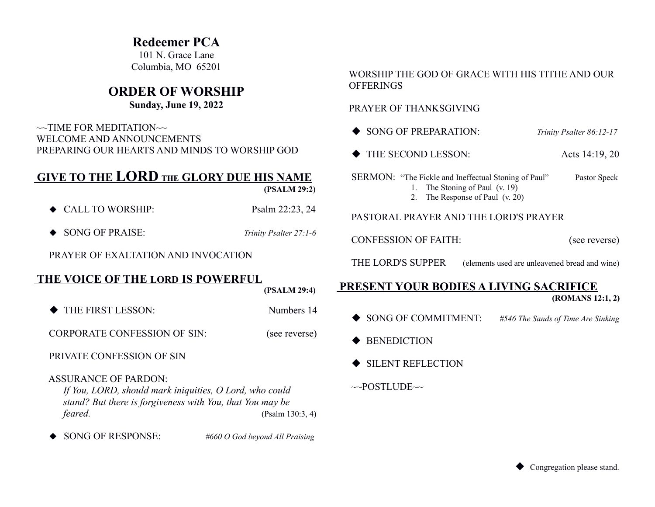## **Redeemer PCA**

101 N. Grace Lane Columbia, MO 65201

## **ORDER OF WORSHIP**

### **Sunday, June 19, 2022**

 $\sim$ TIME FOR MEDITATION $\sim$  WELCOME AND ANNOUNCEMENTS PREPARING OUR HEARTS AND MINDS TO WORSHIP GOD

# **GIVE TO THE LORD THE GLORY DUE HIS NAME**

 **(PSALM 29:2)**

- ◆ CALL TO WORSHIP: Psalm 22:23, 24
- ◆ SONG OF PRAISE: *Trinity Psalter 27:1-6*

PRAYER OF EXALTATION AND INVOCATION

### **THE VOICE OF THE LORD IS POWERFUL**

 **(PSALM 29:4)**

THE FIRST LESSON: Numbers 14

CORPORATE CONFESSION OF SIN: (see reverse)

PRIVATE CONFESSION OF SIN

#### ASSURANCE OF PARDON:

*If You, LORD, should mark iniquities, O Lord, who could stand? But there is forgiveness with You, that You may be feared.* (Psalm 130:3, 4)

SONG OF RESPONSE: *#660 O God beyond All Praising*

#### WORSHIP THE GOD OF GRACE WITH HIS TITHE AND OUR **OFFERINGS**

#### PRAYER OF THANKSGIVING

- ◆ SONG OF PREPARATION: *Trinity Psalter 86:12-17*
- ◆ THE SECOND LESSON: Acts 14:19, 20

SERMON: "The Fickle and Ineffectual Stoning of Paul" Pastor Speck 1. The Stoning of Paul (v. 19)

2. The Response of Paul (v. 20)

#### PASTORAL PRAYER AND THE LORD'S PRAYER

CONFESSION OF FAITH: (see reverse)

THE LORD'S SUPPER (elements used are unleavened bread and wine)

# **PRESENT YOUR BODIES A LIVING SACRIFICE**

 **(ROMANS 12:1, 2)**

- SONG OF COMMITMENT: *#546 The Sands of Time Are Sinking*
- ◆ BENEDICTION
- ◆ SILENT REFLECTION
- $\sim$ POSTLUDE $\sim$